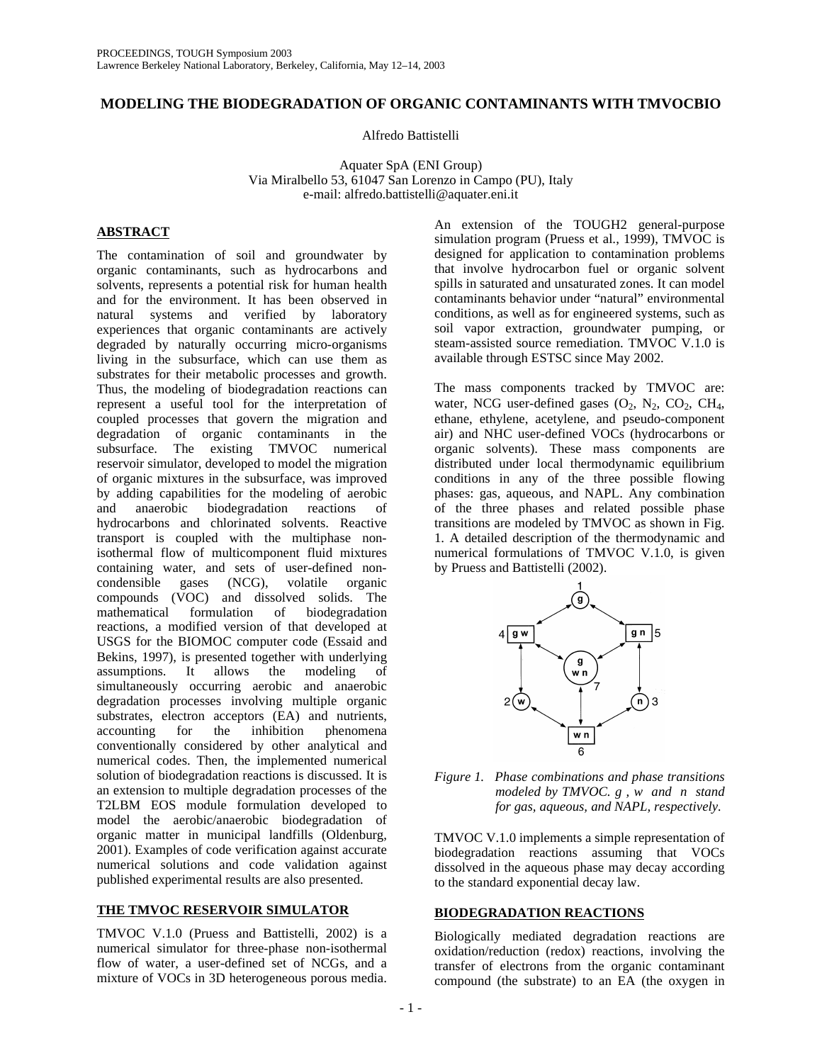# **MODELING THE BIODEGRADATION OF ORGANIC CONTAMINANTS WITH TMVOCBIO**

Alfredo Battistelli

Aquater SpA (ENI Group) Via Miralbello 53, 61047 San Lorenzo in Campo (PU), Italy e-mail: alfredo.battistelli@aquater.eni.it

## **ABSTRACT**

The contamination of soil and groundwater by organic contaminants, such as hydrocarbons and solvents, represents a potential risk for human health and for the environment. It has been observed in natural systems and verified by laboratory experiences that organic contaminants are actively degraded by naturally occurring micro-organisms living in the subsurface, which can use them as substrates for their metabolic processes and growth. Thus, the modeling of biodegradation reactions can represent a useful tool for the interpretation of coupled processes that govern the migration and degradation of organic contaminants in the subsurface. The existing TMVOC numerical reservoir simulator, developed to model the migration of organic mixtures in the subsurface, was improved by adding capabilities for the modeling of aerobic biodegradation reactions of hydrocarbons and chlorinated solvents. Reactive transport is coupled with the multiphase nonisothermal flow of multicomponent fluid mixtures containing water, and sets of user-defined non-<br>condensible gases (NCG), volatile organic condensible gases (NCG), volatile organic compounds (VOC) and dissolved solids. The mathematical formulation of biodegradation reactions, a modified version of that developed at USGS for the BIOMOC computer code (Essaid and Bekins, 1997), is presented together with underlying assumptions. It allows the modeling of simultaneously occurring aerobic and anaerobic degradation processes involving multiple organic substrates, electron acceptors (EA) and nutrients, accounting for the inhibition phenomena for the inhibition phenomena conventionally considered by other analytical and numerical codes. Then, the implemented numerical solution of biodegradation reactions is discussed. It is an extension to multiple degradation processes of the T2LBM EOS module formulation developed to model the aerobic/anaerobic biodegradation of organic matter in municipal landfills (Oldenburg, 2001). Examples of code verification against accurate numerical solutions and code validation against published experimental results are also presented.

## **THE TMVOC RESERVOIR SIMULATOR**

TMVOC V.1.0 (Pruess and Battistelli, 2002) is a numerical simulator for three-phase non-isothermal flow of water, a user-defined set of NCGs, and a mixture of VOCs in 3D heterogeneous porous media.

An extension of the TOUGH2 general-purpose simulation program (Pruess et al., 1999), TMVOC is designed for application to contamination problems that involve hydrocarbon fuel or organic solvent spills in saturated and unsaturated zones. It can model contaminants behavior under "natural" environmental conditions, as well as for engineered systems, such as soil vapor extraction, groundwater pumping, or steam-assisted source remediation. TMVOC V.1.0 is available through ESTSC since May 2002.

The mass components tracked by TMVOC are: water, NCG user-defined gases  $(O_2, N_2, CO_2, CH_4,$ ethane, ethylene, acetylene, and pseudo-component air) and NHC user-defined VOCs (hydrocarbons or organic solvents). These mass components are distributed under local thermodynamic equilibrium conditions in any of the three possible flowing phases: gas, aqueous, and NAPL. Any combination of the three phases and related possible phase transitions are modeled by TMVOC as shown in Fig. 1. A detailed description of the thermodynamic and numerical formulations of TMVOC V.1.0, is given by Pruess and Battistelli (2002).



*Figure 1. Phase combinations and phase transitions modeled by TMVOC. g , w and n stand for gas, aqueous, and NAPL, respectively.*

TMVOC V.1.0 implements a simple representation of biodegradation reactions assuming that VOCs dissolved in the aqueous phase may decay according to the standard exponential decay law.

## **BIODEGRADATION REACTIONS**

Biologically mediated degradation reactions are oxidation/reduction (redox) reactions, involving the transfer of electrons from the organic contaminant compound (the substrate) to an EA (the oxygen in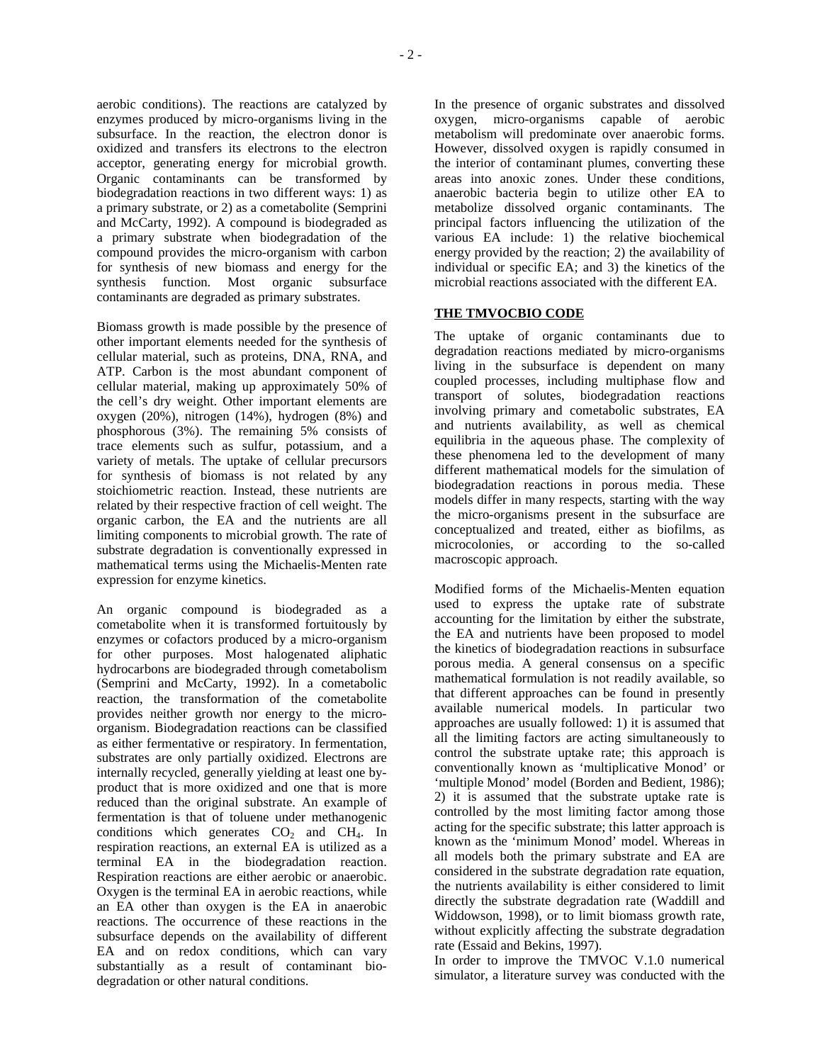aerobic conditions). The reactions are catalyzed by enzymes produced by micro-organisms living in the subsurface. In the reaction, the electron donor is oxidized and transfers its electrons to the electron acceptor, generating energy for microbial growth. Organic contaminants can be transformed by biodegradation reactions in two different ways: 1) as a primary substrate, or 2) as a cometabolite (Semprini and McCarty, 1992). A compound is biodegraded as a primary substrate when biodegradation of the compound provides the micro-organism with carbon for synthesis of new biomass and energy for the synthesis function. Most organic subsurface contaminants are degraded as primary substrates.

Biomass growth is made possible by the presence of other important elements needed for the synthesis of cellular material, such as proteins, DNA, RNA, and ATP. Carbon is the most abundant component of cellular material, making up approximately 50% of the cell's dry weight. Other important elements are oxygen (20%), nitrogen (14%), hydrogen (8%) and phosphorous (3%). The remaining 5% consists of trace elements such as sulfur, potassium, and a variety of metals. The uptake of cellular precursors for synthesis of biomass is not related by any stoichiometric reaction. Instead, these nutrients are related by their respective fraction of cell weight. The organic carbon, the EA and the nutrients are all limiting components to microbial growth. The rate of substrate degradation is conventionally expressed in mathematical terms using the Michaelis-Menten rate expression for enzyme kinetics.

An organic compound is biodegraded as a cometabolite when it is transformed fortuitously by enzymes or cofactors produced by a micro-organism for other purposes. Most halogenated aliphatic hydrocarbons are biodegraded through cometabolism (Semprini and McCarty, 1992). In a cometabolic reaction, the transformation of the cometabolite provides neither growth nor energy to the microorganism. Biodegradation reactions can be classified as either fermentative or respiratory. In fermentation, substrates are only partially oxidized. Electrons are internally recycled, generally yielding at least one byproduct that is more oxidized and one that is more reduced than the original substrate. An example of fermentation is that of toluene under methanogenic conditions which generates  $CO<sub>2</sub>$  and  $CH<sub>4</sub>$ . In respiration reactions, an external EA is utilized as a terminal EA in the biodegradation reaction. Respiration reactions are either aerobic or anaerobic. Oxygen is the terminal EA in aerobic reactions, while an EA other than oxygen is the EA in anaerobic reactions. The occurrence of these reactions in the subsurface depends on the availability of different EA and on redox conditions, which can vary substantially as a result of contaminant biodegradation or other natural conditions.

In the presence of organic substrates and dissolved oxygen, micro-organisms capable of aerobic metabolism will predominate over anaerobic forms. However, dissolved oxygen is rapidly consumed in the interior of contaminant plumes, converting these areas into anoxic zones. Under these conditions, anaerobic bacteria begin to utilize other EA to metabolize dissolved organic contaminants. The principal factors influencing the utilization of the various EA include: 1) the relative biochemical energy provided by the reaction; 2) the availability of individual or specific EA; and 3) the kinetics of the microbial reactions associated with the different EA.

# **THE TMVOCBIO CODE**

The uptake of organic contaminants due to degradation reactions mediated by micro-organisms living in the subsurface is dependent on many coupled processes, including multiphase flow and transport of solutes, biodegradation reactions involving primary and cometabolic substrates, EA and nutrients availability, as well as chemical equilibria in the aqueous phase. The complexity of these phenomena led to the development of many different mathematical models for the simulation of biodegradation reactions in porous media. These models differ in many respects, starting with the way the micro-organisms present in the subsurface are conceptualized and treated, either as biofilms, as microcolonies, or according to the so-called macroscopic approach.

Modified forms of the Michaelis-Menten equation used to express the uptake rate of substrate accounting for the limitation by either the substrate, the EA and nutrients have been proposed to model the kinetics of biodegradation reactions in subsurface porous media. A general consensus on a specific mathematical formulation is not readily available, so that different approaches can be found in presently available numerical models. In particular two approaches are usually followed: 1) it is assumed that all the limiting factors are acting simultaneously to control the substrate uptake rate; this approach is conventionally known as 'multiplicative Monod' or 'multiple Monod' model (Borden and Bedient, 1986); 2) it is assumed that the substrate uptake rate is controlled by the most limiting factor among those acting for the specific substrate; this latter approach is known as the 'minimum Monod' model. Whereas in all models both the primary substrate and EA are considered in the substrate degradation rate equation, the nutrients availability is either considered to limit directly the substrate degradation rate (Waddill and Widdowson, 1998), or to limit biomass growth rate, without explicitly affecting the substrate degradation rate (Essaid and Bekins, 1997).

In order to improve the TMVOC V.1.0 numerical simulator, a literature survey was conducted with the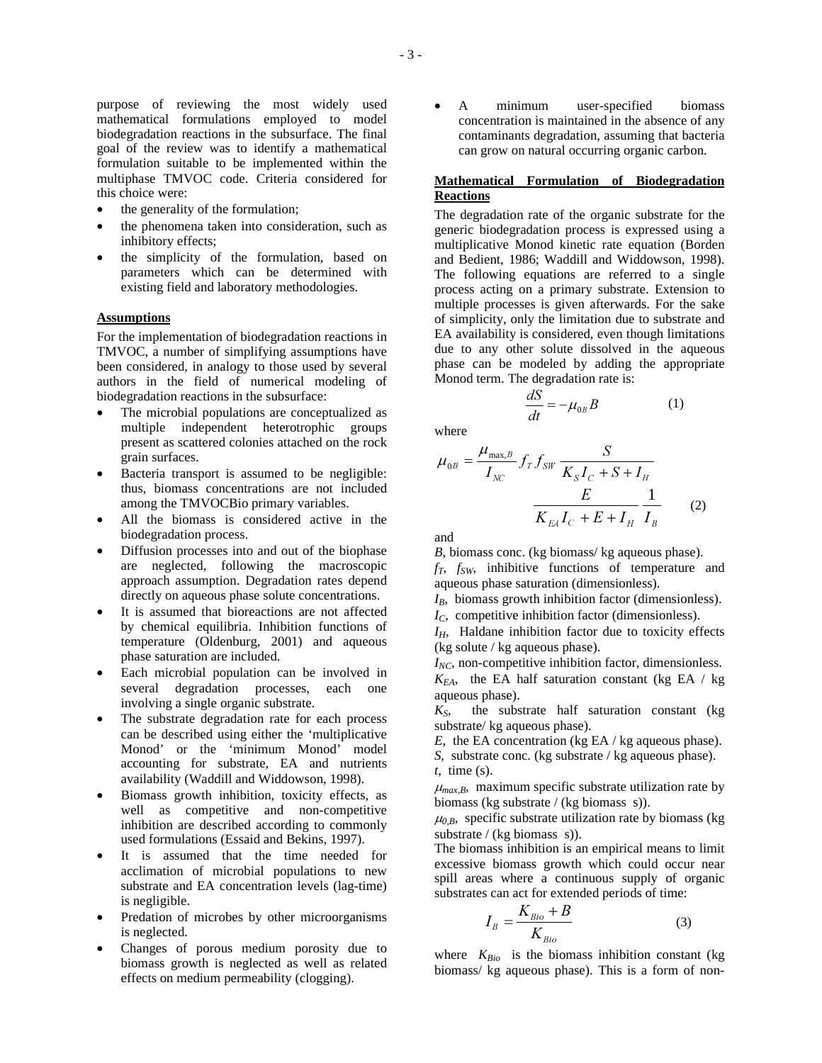purpose of reviewing the most widely used mathematical formulations employed to model biodegradation reactions in the subsurface. The final goal of the review was to identify a mathematical formulation suitable to be implemented within the multiphase TMVOC code. Criteria considered for this choice were:

- the generality of the formulation;
- the phenomena taken into consideration, such as inhibitory effects;
- the simplicity of the formulation, based on parameters which can be determined with existing field and laboratory methodologies.

#### **Assumptions**

For the implementation of biodegradation reactions in TMVOC, a number of simplifying assumptions have been considered, in analogy to those used by several authors in the field of numerical modeling of biodegradation reactions in the subsurface:

- The microbial populations are conceptualized as multiple independent heterotrophic groups present as scattered colonies attached on the rock grain surfaces.
- Bacteria transport is assumed to be negligible: thus, biomass concentrations are not included among the TMVOCBio primary variables.
- All the biomass is considered active in the biodegradation process.
- Diffusion processes into and out of the biophase are neglected, following the macroscopic approach assumption. Degradation rates depend directly on aqueous phase solute concentrations.
- It is assumed that bioreactions are not affected by chemical equilibria. Inhibition functions of temperature (Oldenburg, 2001) and aqueous phase saturation are included.
- Each microbial population can be involved in several degradation processes, each one involving a single organic substrate.
- The substrate degradation rate for each process can be described using either the 'multiplicative Monod' or the 'minimum Monod' model accounting for substrate, EA and nutrients availability (Waddill and Widdowson, 1998).
- Biomass growth inhibition, toxicity effects, as well as competitive and non-competitive inhibition are described according to commonly used formulations (Essaid and Bekins, 1997).
- It is assumed that the time needed for acclimation of microbial populations to new substrate and EA concentration levels (lag-time) is negligible.
- Predation of microbes by other microorganisms is neglected.
- Changes of porous medium porosity due to biomass growth is neglected as well as related effects on medium permeability (clogging).

 A minimum user-specified biomass concentration is maintained in the absence of any contaminants degradation, assuming that bacteria can grow on natural occurring organic carbon.

## **Mathematical Formulation of Biodegradation Reactions**

The degradation rate of the organic substrate for the generic biodegradation process is expressed using a multiplicative Monod kinetic rate equation (Borden and Bedient, 1986; Waddill and Widdowson, 1998). The following equations are referred to a single process acting on a primary substrate. Extension to multiple processes is given afterwards. For the sake of simplicity, only the limitation due to substrate and EA availability is considered, even though limitations due to any other solute dissolved in the aqueous phase can be modeled by adding the appropriate Monod term. The degradation rate is:

$$
\frac{dS}{dt} = -\mu_{0B}B\tag{1}
$$

where

$$
\mu_{0B} = \frac{\mu_{\text{max},B}}{I_{NC}} f_T f_{SW} \frac{S}{K_S I_C + S + I_H} \frac{E}{I_B}
$$
\n
$$
\frac{E}{K_{EA} I_C + E + I_H} \frac{1}{I_B}
$$
\n(2)

and

*B*, biomass conc. (kg biomass/kg aqueous phase).

*fT*, *fSW*, inhibitive functions of temperature and aqueous phase saturation (dimensionless).

*IB*, biomass growth inhibition factor (dimensionless). *IC*, competitive inhibition factor (dimensionless).

*IH*, Haldane inhibition factor due to toxicity effects (kg solute / kg aqueous phase).

*INC*, non-competitive inhibition factor, dimensionless.  $K_{EA}$ , the EA half saturation constant (kg EA / kg) aqueous phase).

 $K<sub>S</sub>$ , the substrate half saturation constant (kg) substrate/ kg aqueous phase).

*E*, the EA concentration (kg EA / kg aqueous phase).

*S*, substrate conc. (kg substrate / kg aqueous phase). *t*, time (s).

 $\mu_{max,B}$ , maximum specific substrate utilization rate by biomass (kg substrate / (kg biomass s)).

 $\mu_{0,B}$ , specific substrate utilization rate by biomass (kg) substrate / (kg biomass s)).

The biomass inhibition is an empirical means to limit excessive biomass growth which could occur near spill areas where a continuous supply of organic substrates can act for extended periods of time:

$$
I_B = \frac{K_{Bio} + B}{K_{Bio}} \tag{3}
$$

where *KBio* is the biomass inhibition constant (kg biomass/ kg aqueous phase). This is a form of non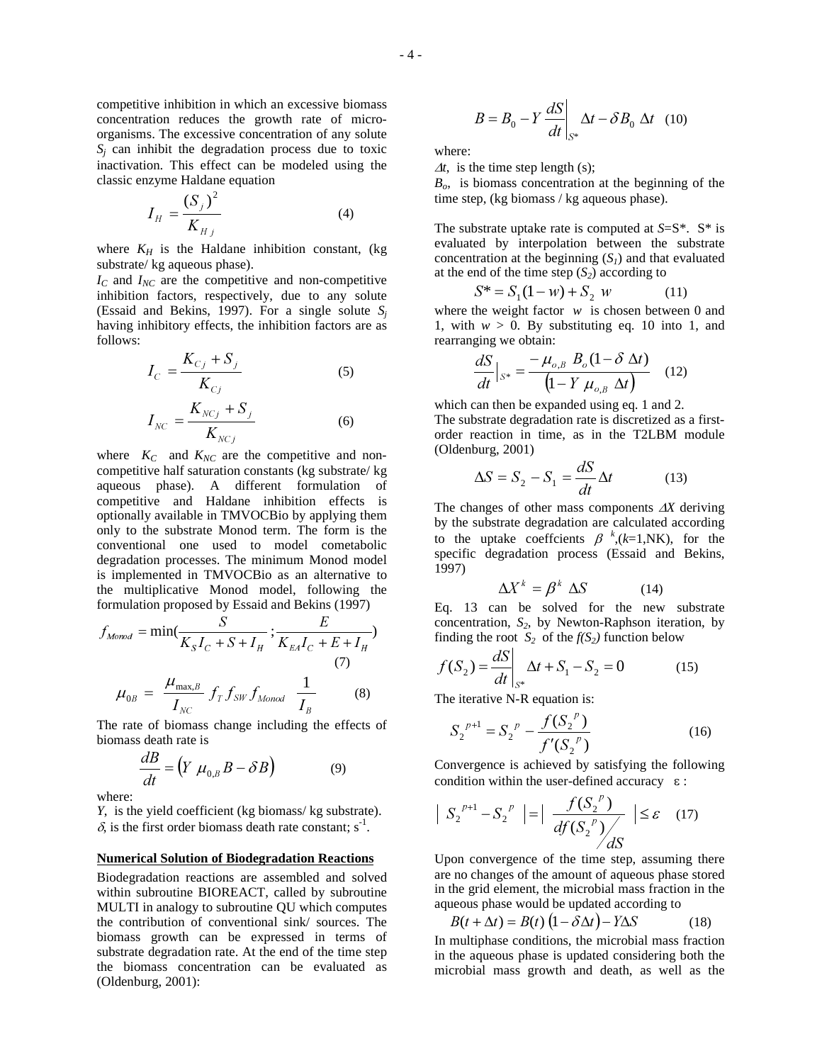competitive inhibition in which an excessive biomass concentration reduces the growth rate of microorganisms. The excessive concentration of any solute  $S_i$  can inhibit the degradation process due to toxic inactivation. This effect can be modeled using the classic enzyme Haldane equation

$$
I_H = \frac{(S_j)^2}{K_{Hj}}
$$
 (4)

where  $K_H$  is the Haldane inhibition constant, (kg substrate/ kg aqueous phase).

*I<sup>C</sup>* and *INC* are the competitive and non-competitive inhibition factors, respectively, due to any solute (Essaid and Bekins, 1997). For a single solute *S<sup>j</sup>* having inhibitory effects, the inhibition factors are as follows:

$$
I_C = \frac{K_{C_j} + S_j}{K_{C_j}}
$$
 (5)  

$$
I_{NC} = \frac{K_{NC_j} + S_j}{K_{NC_j}}
$$
 (6)

where  $K_C$  and  $K_{NC}$  are the competitive and noncompetitive half saturation constants (kg substrate/ kg aqueous phase). A different formulation of competitive and Haldane inhibition effects is optionally available in TMVOCBio by applying them only to the substrate Monod term. The form is the conventional one used to model cometabolic degradation processes. The minimum Monod model is implemented in TMVOCBio as an alternative to the multiplicative Monod model, following the formulation proposed by Essaid and Bekins (1997)

$$
f_{Monod} = \min(\frac{S}{K_S I_C + S + I_H}; \frac{E}{K_{EA} I_C + E + I_H})
$$
  
(7)  

$$
\mu_{0B} = \frac{\mu_{\text{max},B}}{I_{NC}} f_T f_{SW} f_{Monod} \frac{1}{I_B}
$$
 (8)

The rate of biomass change including the effects of biomass death rate is

$$
\frac{dB}{dt} = \left(Y \mu_{0,B} B - \delta B\right) \tag{9}
$$

where:

*Y*, is the yield coefficient (kg biomass/ kg substrate).  $\delta$ , is the first order biomass death rate constant; s<sup>-1</sup>.

#### **Numerical Solution of Biodegradation Reactions**

Biodegradation reactions are assembled and solved within subroutine BIOREACT, called by subroutine MULTI in analogy to subroutine QU which computes the contribution of conventional sink/ sources. The biomass growth can be expressed in terms of substrate degradation rate. At the end of the time step the biomass concentration can be evaluated as (Oldenburg, 2001):

$$
B = B_0 - Y \frac{dS}{dt}\bigg|_{S^*} \Delta t - \delta B_0 \Delta t \quad (10)
$$

where:

 $\Delta t$ , is the time step length (s);

*Bo*, is biomass concentration at the beginning of the time step, (kg biomass / kg aqueous phase).

The substrate uptake rate is computed at *S*=S\*. S\* is evaluated by interpolation between the substrate concentration at the beginning  $(S<sub>I</sub>)$  and that evaluated at the end of the time step  $(S_2)$  according to

$$
S^* = S_1(1 - w) + S_2 w \tag{11}
$$

where the weight factor *w* is chosen between 0 and 1, with  $w > 0$ . By substituting eq. 10 into 1, and rearranging we obtain:

$$
\frac{dS}{dt}\Big|_{S^*} = \frac{-\mu_{o,B} B_o (1 - \delta \Delta t)}{\left(1 - Y \mu_{o,B} \Delta t\right)} \quad (12)
$$

which can then be expanded using eq. 1 and 2. The substrate degradation rate is discretized as a firstorder reaction in time, as in the T2LBM module (Oldenburg, 2001)

$$
\Delta S = S_2 - S_1 = \frac{dS}{dt} \Delta t \tag{13}
$$

The changes of other mass components  $\Delta X$  deriving by the substrate degradation are calculated according to the uptake coeffcients  $\beta^{k}(k=1, NK)$ , for the specific degradation process (Essaid and Bekins, 1997)

$$
\Delta X^k = \beta^k \ \Delta S \tag{14}
$$

Eq. 13 can be solved for the new substrate concentration, *S2*, by Newton-Raphson iteration, by finding the root  $S_2$  of the  $f(S_2)$  function below

$$
f(S_2) = \frac{dS}{dt}\bigg|_{S^*} \Delta t + S_1 - S_2 = 0 \tag{15}
$$

The iterative N-R equation is:

$$
S_2^{\ p+1} = S_2^{\ p} - \frac{f(S_2^{\ p})}{f'(S_2^{\ p})}
$$
 (16)

Convergence is achieved by satisfying the following condition within the user-defined accuracy  $\varepsilon$ :

$$
\left| S_2^{p+1} - S_2^{p} \right| = \left| \frac{f(S_2^{p})}{df(S_2^{p})} \right| \leq \varepsilon \quad (17)
$$

Upon convergence of the time step, assuming there are no changes of the amount of aqueous phase stored in the grid element, the microbial mass fraction in the aqueous phase would be updated according to

$$
B(t + \Delta t) = B(t) \left(1 - \delta \Delta t\right) - Y \Delta S \tag{18}
$$

In multiphase conditions, the microbial mass fraction in the aqueous phase is updated considering both the microbial mass growth and death, as well as the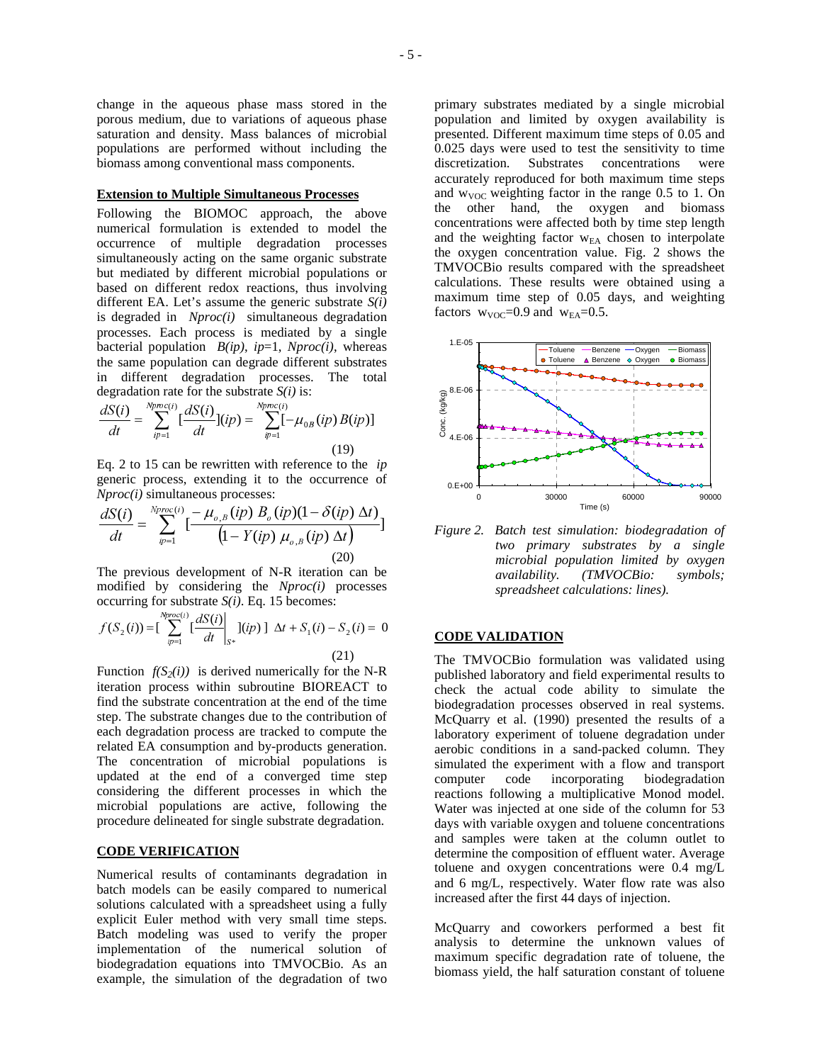change in the aqueous phase mass stored in the porous medium, due to variations of aqueous phase saturation and density. Mass balances of microbial populations are performed without including the biomass among conventional mass components.

### **Extension to Multiple Simultaneous Processes**

Following the BIOMOC approach, the above numerical formulation is extended to model the occurrence of multiple degradation processes simultaneously acting on the same organic substrate but mediated by different microbial populations or based on different redox reactions, thus involving different EA. Let's assume the generic substrate *S(i)* is degraded in *Nproc(i)* simultaneous degradation processes. Each process is mediated by a single bacterial population  $B(ip)$ ,  $ip=1$ ,  $Nproc(i)$ , whereas the same population can degrade different substrates in different degradation processes. The total degradation rate for the substrate *S(i)* is:

$$
\frac{dS(i)}{dt} = \sum_{ip=1}^{Nproc(i)} [\frac{dS(i)}{dt}](ip) = \sum_{ip=1}^{Nproc(i)} [-\mu_{0B}(ip)B(ip)]
$$
\n(19)

Eq. 2 to 15 can be rewritten with reference to the *ip* generic process, extending it to the occurrence of *Nproc(i)* simultaneous processes:

$$
\frac{dS(i)}{dt} = \sum_{p=1}^{Nproc(i)} \left[ \frac{-\mu_{o,B}(ip) B_o(ip)(1 - \delta(ip) \Delta t}{\left(1 - Y(ip) \mu_{o,B}(ip) \Delta t\right)} \right]
$$
\n(20)

The previous development of N-R iteration can be modified by considering the *Nproc(i)* processes occurring for substrate *S(i)*. Eq. 15 becomes:

$$
f(S_2(i)) = \left[\sum_{ip=1}^{Nproc(i)} \left[\frac{dS(i)}{dt}\right]_{S^*} \right] (ip) \left[ \Delta t + S_1(i) - S_2(i) = 0 \right]
$$
\n(21)

Function  $f(S_2(i))$  is derived numerically for the N-R iteration process within subroutine BIOREACT to find the substrate concentration at the end of the time step. The substrate changes due to the contribution of each degradation process are tracked to compute the related EA consumption and by-products generation. The concentration of microbial populations is updated at the end of a converged time step considering the different processes in which the microbial populations are active, following the procedure delineated for single substrate degradation.

## **CODE VERIFICATION**

Numerical results of contaminants degradation in batch models can be easily compared to numerical solutions calculated with a spreadsheet using a fully explicit Euler method with very small time steps. Batch modeling was used to verify the proper implementation of the numerical solution of biodegradation equations into TMVOCBio. As an example, the simulation of the degradation of two

primary substrates mediated by a single microbial population and limited by oxygen availability is presented. Different maximum time steps of 0.05 and 0.025 days were used to test the sensitivity to time discretization. Substrates concentrations were accurately reproduced for both maximum time steps and  $w_{VOC}$  weighting factor in the range 0.5 to 1. On the other hand, the oxygen and biomass concentrations were affected both by time step length and the weighting factor  $w_{EA}$  chosen to interpolate the oxygen concentration value. Fig. 2 shows the TMVOCBio results compared with the spreadsheet calculations. These results were obtained using a maximum time step of 0.05 days, and weighting factors  $w_{VOC} = 0.9$  and  $w_{EA} = 0.5$ .



*Figure 2. Batch test simulation: biodegradation of two primary substrates by a single microbial population limited by oxygen availability. (TMVOCBio: symbols; spreadsheet calculations: lines).*

#### **CODE VALIDATION**

The TMVOCBio formulation was validated using published laboratory and field experimental results to check the actual code ability to simulate the biodegradation processes observed in real systems. McQuarry et al. (1990) presented the results of a laboratory experiment of toluene degradation under aerobic conditions in a sand-packed column. They simulated the experiment with a flow and transport computer code incorporating biodegradation reactions following a multiplicative Monod model. Water was injected at one side of the column for 53 days with variable oxygen and toluene concentrations and samples were taken at the column outlet to determine the composition of effluent water. Average toluene and oxygen concentrations were 0.4 mg/L and 6 mg/L, respectively. Water flow rate was also increased after the first 44 days of injection.

McQuarry and coworkers performed a best fit analysis to determine the unknown values of maximum specific degradation rate of toluene, the biomass yield, the half saturation constant of toluene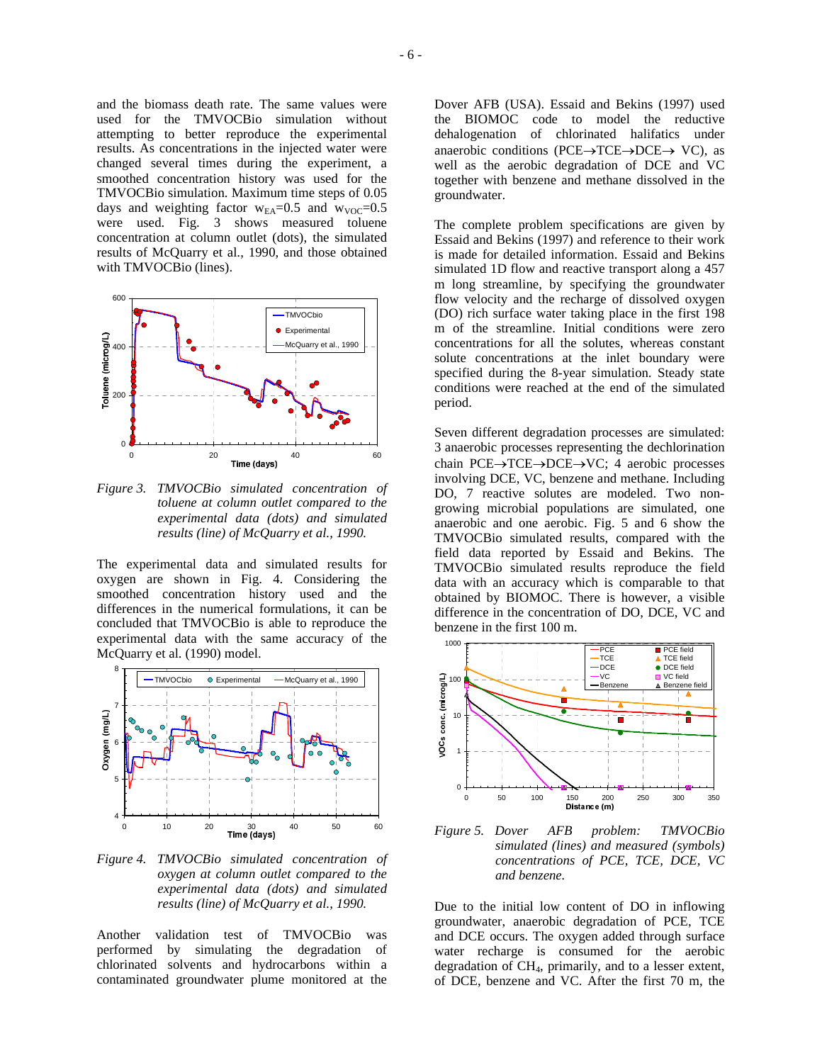and the biomass death rate. The same values were used for the TMVOCBio simulation without attempting to better reproduce the experimental results. As concentrations in the injected water were changed several times during the experiment, a smoothed concentration history was used for the TMVOCBio simulation. Maximum time steps of 0.05 days and weighting factor  $w_{EA} = 0.5$  and  $w_{VOC} = 0.5$ were used. Fig. 3 shows measured toluene concentration at column outlet (dots), the simulated results of McQuarry et al., 1990, and those obtained with TMVOCBio (lines).



*Figure 3. TMVOCBio simulated concentration of toluene at column outlet compared to the experimental data (dots) and simulated results (line) of McQuarry et al., 1990.*

The experimental data and simulated results for oxygen are shown in Fig. 4. Considering the smoothed concentration history used and the differences in the numerical formulations, it can be concluded that TMVOCBio is able to reproduce the experimental data with the same accuracy of the McQuarry et al. (1990) model.



*Figure 4. TMVOCBio simulated concentration of oxygen at column outlet compared to the experimental data (dots) and simulated results (line) of McQuarry et al., 1990.*

Another validation test of TMVOCBio was performed by simulating the degradation of chlorinated solvents and hydrocarbons within a contaminated groundwater plume monitored at the Dover AFB (USA). Essaid and Bekins (1997) used the BIOMOC code to model the reductive dehalogenation of chlorinated halifatics under anaerobic conditions (PCE $\rightarrow$ TCE $\rightarrow$ DCE $\rightarrow$  VC), as well as the aerobic degradation of DCE and VC together with benzene and methane dissolved in the groundwater.

The complete problem specifications are given by Essaid and Bekins (1997) and reference to their work is made for detailed information. Essaid and Bekins simulated 1D flow and reactive transport along a 457 m long streamline, by specifying the groundwater flow velocity and the recharge of dissolved oxygen (DO) rich surface water taking place in the first 198 m of the streamline. Initial conditions were zero concentrations for all the solutes, whereas constant solute concentrations at the inlet boundary were specified during the 8-year simulation. Steady state conditions were reached at the end of the simulated period.

Seven different degradation processes are simulated: 3 anaerobic processes representing the dechlorination chain PCE $\rightarrow$ TCE $\rightarrow$ DCE $\rightarrow$ VC; 4 aerobic processes involving DCE, VC, benzene and methane. Including DO, 7 reactive solutes are modeled. Two nongrowing microbial populations are simulated, one anaerobic and one aerobic. Fig. 5 and 6 show the TMVOCBio simulated results, compared with the field data reported by Essaid and Bekins. The TMVOCBio simulated results reproduce the field data with an accuracy which is comparable to that obtained by BIOMOC. There is however, a visible difference in the concentration of DO, DCE, VC and benzene in the first 100 m.



*Figure 5. Dover AFB problem: TMVOCBio simulated (lines) and measured (symbols) concentrations of PCE, TCE, DCE, VC and benzene.*

Due to the initial low content of DO in inflowing groundwater, anaerobic degradation of PCE, TCE and DCE occurs. The oxygen added through surface water recharge is consumed for the aerobic degradation of CH4, primarily, and to a lesser extent, of DCE, benzene and VC. After the first 70 m, the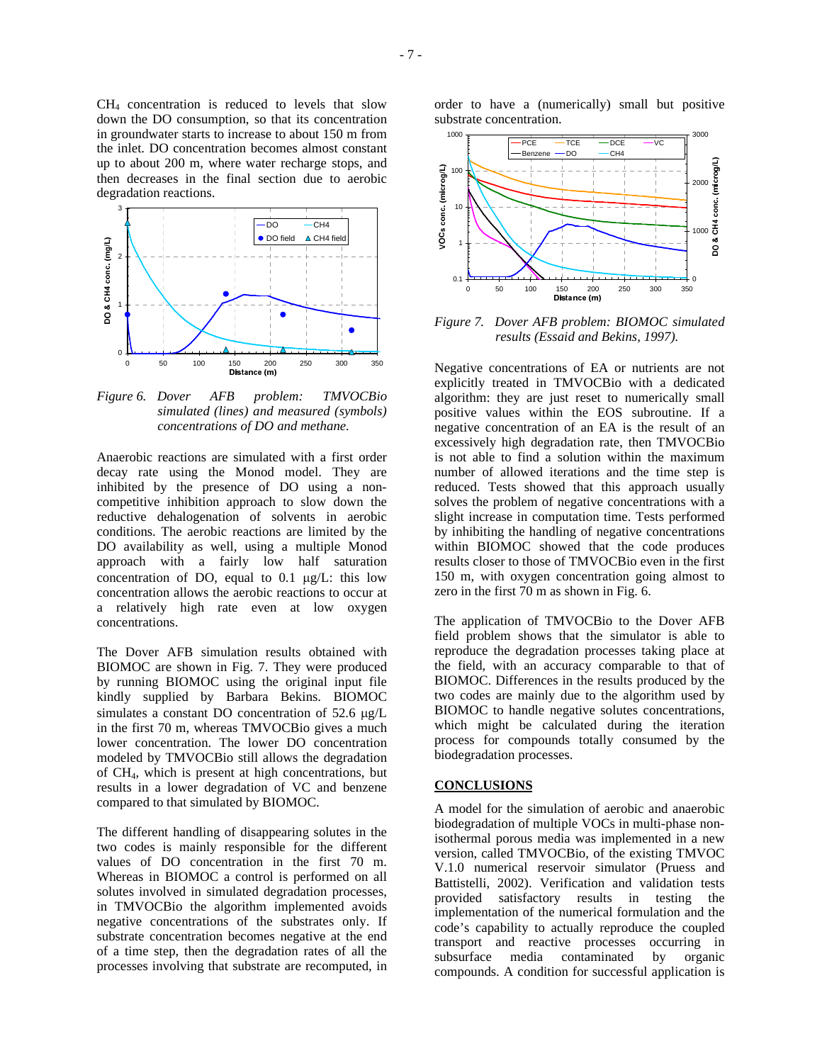$CH<sub>4</sub>$  concentration is reduced to levels that slow down the DO consumption, so that its concentration in groundwater starts to increase to about 150 m from the inlet. DO concentration becomes almost constant up to about 200 m, where water recharge stops, and then decreases in the final section due to aerobic degradation reactions.



*Figure 6. Dover AFB problem: TMVOCBio simulated (lines) and measured (symbols) concentrations of DO and methane.*

Anaerobic reactions are simulated with a first order decay rate using the Monod model. They are inhibited by the presence of DO using a noncompetitive inhibition approach to slow down the reductive dehalogenation of solvents in aerobic conditions. The aerobic reactions are limited by the DO availability as well, using a multiple Monod approach with a fairly low half saturation concentration of DO, equal to  $0.1 \mu g/L$ : this low concentration allows the aerobic reactions to occur at a relatively high rate even at low oxygen concentrations.

The Dover AFB simulation results obtained with BIOMOC are shown in Fig. 7. They were produced by running BIOMOC using the original input file kindly supplied by Barbara Bekins. BIOMOC simulates a constant DO concentration of  $52.6 \mu g/L$ in the first 70 m, whereas TMVOCBio gives a much lower concentration. The lower DO concentration modeled by TMVOCBio still allows the degradation of CH4, which is present at high concentrations, but results in a lower degradation of VC and benzene compared to that simulated by BIOMOC.

The different handling of disappearing solutes in the two codes is mainly responsible for the different values of DO concentration in the first 70 m. Whereas in BIOMOC a control is performed on all solutes involved in simulated degradation processes, in TMVOCBio the algorithm implemented avoids negative concentrations of the substrates only. If substrate concentration becomes negative at the end of a time step, then the degradation rates of all the processes involving that substrate are recomputed, in

order to have a (numerically) small but positive substrate concentration.



*Figure 7. Dover AFB problem: BIOMOC simulated results (Essaid and Bekins, 1997).*

Negative concentrations of EA or nutrients are not explicitly treated in TMVOCBio with a dedicated algorithm: they are just reset to numerically small positive values within the EOS subroutine. If a negative concentration of an EA is the result of an excessively high degradation rate, then TMVOCBio is not able to find a solution within the maximum number of allowed iterations and the time step is reduced. Tests showed that this approach usually solves the problem of negative concentrations with a slight increase in computation time. Tests performed by inhibiting the handling of negative concentrations within BIOMOC showed that the code produces results closer to those of TMVOCBio even in the first 150 m, with oxygen concentration going almost to zero in the first 70 m as shown in Fig. 6.

The application of TMVOCBio to the Dover AFB field problem shows that the simulator is able to reproduce the degradation processes taking place at the field, with an accuracy comparable to that of BIOMOC. Differences in the results produced by the two codes are mainly due to the algorithm used by BIOMOC to handle negative solutes concentrations, which might be calculated during the iteration process for compounds totally consumed by the biodegradation processes.

#### **CONCLUSIONS**

A model for the simulation of aerobic and anaerobic biodegradation of multiple VOCs in multi-phase nonisothermal porous media was implemented in a new version, called TMVOCBio, of the existing TMVOC V.1.0 numerical reservoir simulator (Pruess and Battistelli, 2002). Verification and validation tests provided satisfactory results in testing the implementation of the numerical formulation and the code's capability to actually reproduce the coupled transport and reactive processes occurring in subsurface media contaminated by organic compounds. A condition for successful application is